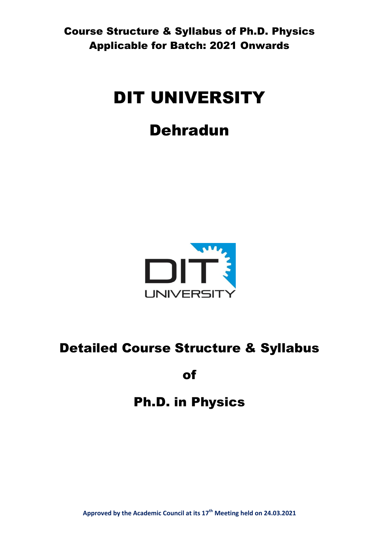# DIT UNIVERSITY

# Dehradun



# Detailed Course Structure & Syllabus

of

# Ph.D. in Physics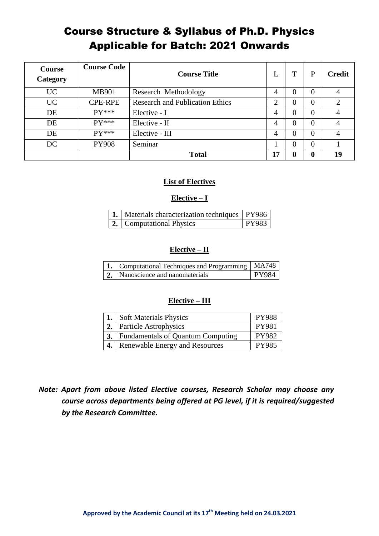| Course<br>Category | <b>Course Code</b> | <b>Course Title</b>                    | L              |   | P            | <b>Credit</b> |
|--------------------|--------------------|----------------------------------------|----------------|---|--------------|---------------|
| <b>UC</b>          | <b>MB901</b>       | Research Methodology                   | $\overline{4}$ | 0 | $\Omega$     |               |
| <b>UC</b>          | <b>CPE-RPE</b>     | <b>Research and Publication Ethics</b> | ⌒              | 0 | $\Omega$     | ◠             |
| DE                 | $PV***$            | Elective - I                           | 4              | 0 | $\Omega$     |               |
| DE                 | $PV***$            | Elective - II                          | 4              | 0 | $\Omega$     |               |
| DE                 | $PV***$            | Elective - III                         | 4              |   | $\Omega$     |               |
| DC                 | <b>PY908</b>       | Seminar                                |                | 0 | $\Omega$     |               |
|                    |                    | <b>Total</b>                           | .7             |   | $\mathbf{0}$ | 19            |

# **List of Electives**

### **Elective – I**

| 1.   Materials characterization techniques   PY986 |       |
|----------------------------------------------------|-------|
| <b>2.</b> Computational Physics                    | PY983 |

### **Elective – II**

| 1.   Computational Techniques and Programming   MA748 |              |
|-------------------------------------------------------|--------------|
| 2. Nanoscience and nanomaterials                      | <b>PY984</b> |

# **Elective – III**

| 1. Soft Materials Physics                   | <b>PY988</b> |
|---------------------------------------------|--------------|
| 2. Particle Astrophysics                    | <b>PY981</b> |
| <b>3.</b> Fundamentals of Quantum Computing | <b>PY982</b> |
| 4. Renewable Energy and Resources           | <b>PY985</b> |

# *Note: Apart from above listed Elective courses, Research Scholar may choose any course across departments being offered at PG level, if it is required/suggested by the Research Committee.*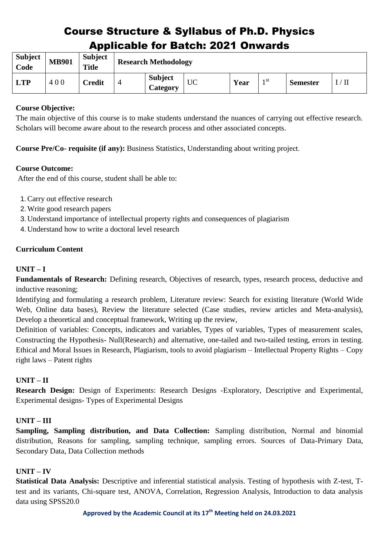| <b>Subject</b><br>Code | <b>MB901</b> | <b>Subject</b><br><b>Title</b> |   | <b>Research Methodology</b> |    |      |      |                 |                |
|------------------------|--------------|--------------------------------|---|-----------------------------|----|------|------|-----------------|----------------|
| <b>LTP</b>             | 400          | <b>Credit</b>                  | 4 | <b>Subject</b><br>Category  | UC | Year | 1 St | <b>Semester</b> | $^{\prime}$ II |

# **Course Objective:**

The main objective of this course is to make students understand the nuances of carrying out effective research. Scholars will become aware about to the research process and other associated concepts.

**Course Pre/Co- requisite (if any):** Business Statistics, Understanding about writing project.

# **Course Outcome:**

After the end of this course, student shall be able to:

- 1.Carry out effective research
- 2.Write good research papers
- 3.Understand importance of intellectual property rights and consequences of plagiarism
- 4.Understand how to write a doctoral level research

# **Curriculum Content**

# **UNIT – I**

**Fundamentals of Research:** Defining research, Objectives of research, types, research process, deductive and inductive reasoning;

Identifying and formulating a research problem, Literature review: Search for existing literature (World Wide Web, Online data bases), Review the literature selected (Case studies, review articles and Meta-analysis), Develop a theoretical and conceptual framework, Writing up the review,

Definition of variables: Concepts, indicators and variables, Types of variables, Types of measurement scales, Constructing the Hypothesis- Null(Research) and alternative, one-tailed and two-tailed testing, errors in testing. Ethical and Moral Issues in Research, Plagiarism, tools to avoid plagiarism – Intellectual Property Rights – Copy right laws – Patent rights

# **UNIT – II**

**Research Design:** Design of Experiments: Research Designs -Exploratory, Descriptive and Experimental, Experimental designs- Types of Experimental Designs

# **UNIT – III**

**Sampling, Sampling distribution, and Data Collection:** Sampling distribution, Normal and binomial distribution, Reasons for sampling, sampling technique, sampling errors. Sources of Data-Primary Data, Secondary Data, Data Collection methods

# **UNIT – IV**

**Statistical Data Analysis:** Descriptive and inferential statistical analysis. Testing of hypothesis with Z-test, Ttest and its variants, Chi-square test, ANOVA, Correlation, Regression Analysis, Introduction to data analysis data using SPSS20.0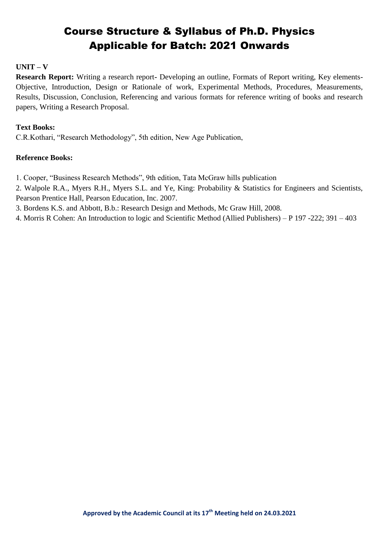# **UNIT – V**

**Research Report:** Writing a research report**-** Developing an outline, Formats of Report writing, Key elements-Objective, Introduction, Design or Rationale of work, Experimental Methods, Procedures, Measurements, Results, Discussion, Conclusion, Referencing and various formats for reference writing of books and research papers, Writing a Research Proposal.

### **Text Books:**

C.R.Kothari, "Research Methodology", 5th edition, New Age Publication,

### **Reference Books:**

1. Cooper, "Business Research Methods", 9th edition, Tata McGraw hills publication

2. Walpole R.A., Myers R.H., Myers S.L. and Ye, King: Probability & Statistics for Engineers and Scientists, Pearson Prentice Hall, Pearson Education, Inc. 2007.

3. Bordens K.S. and Abbott, B.b.: Research Design and Methods, Mc Graw Hill, 2008.

4. Morris R Cohen: An Introduction to logic and Scientific Method (Allied Publishers) – P 197 -222; 391 – 403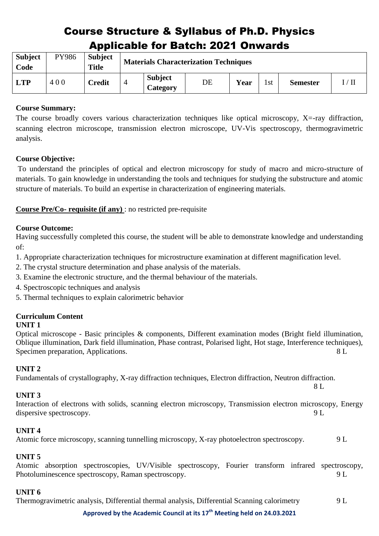| <b>Subject</b><br>Code | PY986 | <b>Subject</b><br><b>Title</b> |                |                                   | <b>Materials Characterization Techniques</b> |      |      |                 |                |
|------------------------|-------|--------------------------------|----------------|-----------------------------------|----------------------------------------------|------|------|-----------------|----------------|
| <b>LTP</b>             | 400   | <b>Credit</b>                  | $\overline{4}$ | <b>Subject</b><br><b>Category</b> | DE                                           | Year | l st | <b>Semester</b> | $\rm I/ \, II$ |

# **Course Summary:**

The course broadly covers various characterization techniques like optical microscopy, X=-ray diffraction, scanning electron microscope, transmission electron microscope, UV-Vis spectroscopy, thermogravimetric analysis.

# **Course Objective:**

To understand the principles of optical and electron microscopy for study of macro and micro-structure of materials. To gain knowledge in understanding the tools and techniques for studying the substructure and atomic structure of materials. To build an expertise in characterization of engineering materials.

**Course Pre/Co- requisite (if any)** : no restricted pre-requisite

# **Course Outcome:**

Having successfully completed this course, the student will be able to demonstrate knowledge and understanding of:

- 1. Appropriate characterization techniques for microstructure examination at different magnification level.
- 2. The crystal structure determination and phase analysis of the materials.
- 3. Examine the electronic structure, and the thermal behaviour of the materials.
- 4. Spectroscopic techniques and analysis
- 5. Thermal techniques to explain calorimetric behavior

# **Curriculum Content**

# **UNIT 1**

Optical microscope - Basic principles & components, Different examination modes (Bright field illumination, Oblique illumination, Dark field illumination, Phase contrast, Polarised light, Hot stage, Interference techniques), Specimen preparation, Applications. 8 L

# **UNIT 2**

Fundamentals of crystallography, X-ray diffraction techniques, Electron diffraction, Neutron diffraction. 8 L

# **UNIT 3**

Interaction of electrons with solids, scanning electron microscopy, Transmission electron microscopy, Energy dispersive spectroscopy. 9 L

# **UNIT 4**

Atomic force microscopy, scanning tunnelling microscopy, X-ray photoelectron spectroscopy. 9 L

# **UNIT 5**

Atomic absorption spectroscopies, UV/Visible spectroscopy, Fourier transform infrared spectroscopy, Photoluminescence spectroscopy, Raman spectroscopy.  $9 L$ 

# **UNIT 6**

Thermogravimetric analysis, Differential thermal analysis, Differential Scanning calorimetry 9 L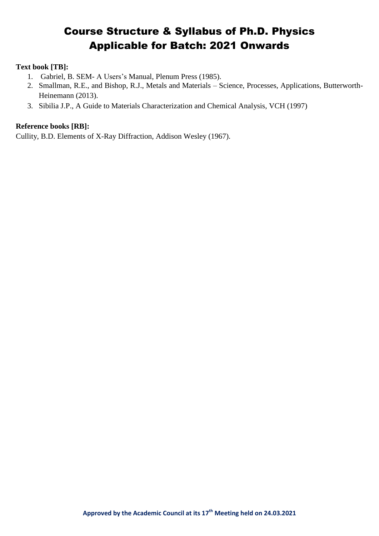### **Text book [TB]:**

- 1. Gabriel, B. SEM- A Users's Manual, Plenum Press (1985).
- 2. Smallman, R.E., and Bishop, R.J., Metals and Materials Science, Processes, Applications, Butterworth-Heinemann (2013).
- 3. Sibilia J.P., A Guide to Materials Characterization and Chemical Analysis, VCH (1997)

### **Reference books [RB]:**

Cullity, B.D. Elements of X-Ray Diffraction, Addison Wesley (1967).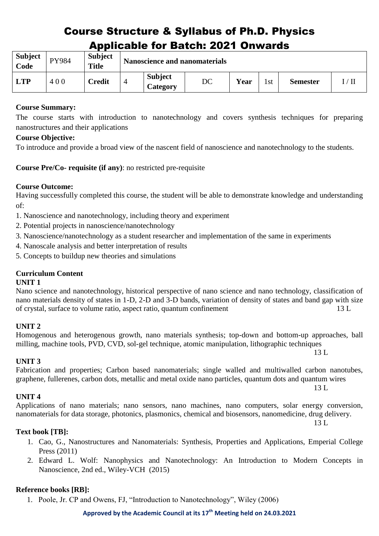| <b>Subject</b><br>Code | PY984 | <b>Subject</b><br><b>Title</b> |   |                            | <b>Nanoscience and nanomaterials</b> |      |     |                 |                    |
|------------------------|-------|--------------------------------|---|----------------------------|--------------------------------------|------|-----|-----------------|--------------------|
| <b>LTP</b>             | 400   | Credit                         | 4 | <b>Subject</b><br>Category | DC                                   | Year | 1st | <b>Semester</b> | $\rm I$ / $\rm II$ |

# **Course Summary:**

The course starts with introduction to nanotechnology and covers synthesis techniques for preparing nanostructures and their applications

# **Course Objective:**

To introduce and provide a broad view of the nascent field of nanoscience and nanotechnology to the students.

**Course Pre/Co- requisite (if any)**: no restricted pre-requisite

# **Course Outcome:**

Having successfully completed this course, the student will be able to demonstrate knowledge and understanding of:

- 1. Nanoscience and nanotechnology, including theory and experiment
- 2. Potential projects in nanoscience/nanotechnology
- 3. Nanoscience/nanotechnology as a student researcher and implementation of the same in experiments
- 4. Nanoscale analysis and better interpretation of results
- 5. Concepts to buildup new theories and simulations

# **Curriculum Content**

# **UNIT 1**

Nano science and nanotechnology, historical perspective of nano science and nano technology, classification of nano materials density of states in 1-D, 2-D and 3-D bands, variation of density of states and band gap with size of crystal, surface to volume ratio, aspect ratio, quantum confinement 13 L

# **UNIT 2**

# Homogenous and heterogenous growth, nano materials synthesis; top-down and bottom-up approaches, ball milling, machine tools, PVD, CVD, sol-gel technique, atomic manipulation, lithographic techniques

13 L

13 L

# **UNIT 3**

Fabrication and properties; Carbon based nanomaterials; single walled and multiwalled carbon nanotubes, graphene, fullerenes, carbon dots, metallic and metal oxide nano particles, quantum dots and quantum wires

# **UNIT 4**

Applications of nano materials; nano sensors, nano machines, nano computers, solar energy conversion, nanomaterials for data storage, photonics, plasmonics, chemical and biosensors, nanomedicine, drug delivery. 13 L

# **Text book [TB]:**

- 1. Cao, G., Nanostructures and Nanomaterials: Synthesis, Properties and Applications, Emperial College Press (2011)
- 2. Edward L. Wolf: Nanophysics and Nanotechnology: An Introduction to Modern Concepts in Nanoscience, 2nd ed., Wiley-VCH (2015)

# **Reference books [RB]:**

1. Poole, Jr. CP and Owens, FJ, "Introduction to Nanotechnology", Wiley (2006)

#### **Approved by the Academic Council at its 17 th Meeting held on 24.03.2021**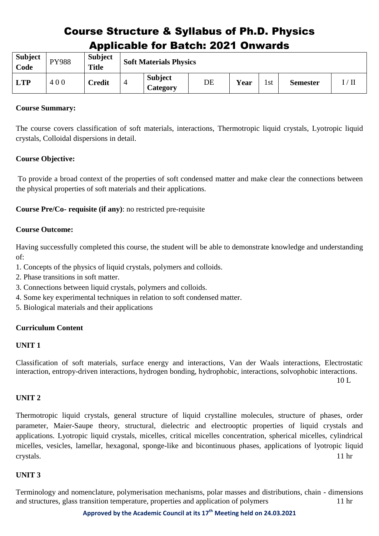| <b>Subject</b><br>Code | <b>PY988</b> | <b>Subject</b><br><b>Title</b> |   | <b>Soft Materials Physics</b> |    |      |     |                 |    |
|------------------------|--------------|--------------------------------|---|-------------------------------|----|------|-----|-----------------|----|
| <b>LTP</b>             | 400          | <b>Credit</b>                  | 4 | <b>Subject</b><br>Category    | DE | Year | 1st | <b>Semester</b> | ΊI |

### **Course Summary:**

The course covers classification of soft materials, interactions, Thermotropic liquid crystals, Lyotropic liquid crystals, Colloidal dispersions in detail.

# **Course Objective:**

To provide a broad context of the properties of soft condensed matter and make clear the connections between the physical properties of soft materials and their applications.

**Course Pre/Co- requisite (if any)**: no restricted pre-requisite

### **Course Outcome:**

Having successfully completed this course, the student will be able to demonstrate knowledge and understanding of:

- 1. Concepts of the physics of liquid crystals, polymers and colloids.
- 2. Phase transitions in soft matter.
- 3. Connections between liquid crystals, polymers and colloids.
- 4. Some key experimental techniques in relation to soft condensed matter.
- 5. Biological materials and their applications

#### **Curriculum Content**

#### **UNIT 1**

Classification of soft materials, surface energy and interactions, Van der Waals interactions, Electrostatic interaction, entropy-driven interactions, hydrogen bonding, hydrophobic, interactions, solvophobic interactions.

10 L

# **UNIT 2**

Thermotropic liquid crystals, general structure of liquid crystalline molecules, structure of phases, order parameter, Maier-Saupe theory, structural, dielectric and electrooptic properties of liquid crystals and applications. Lyotropic liquid crystals, micelles, critical micelles concentration, spherical micelles, cylindrical micelles, vesicles, lamellar, hexagonal, sponge-like and bicontinuous phases, applications of lyotropic liquid crystals. 11 hr

# **UNIT 3**

Terminology and nomenclature, polymerisation mechanisms, polar masses and distributions, chain - dimensions and structures, glass transition temperature, properties and application of polymers 11 hr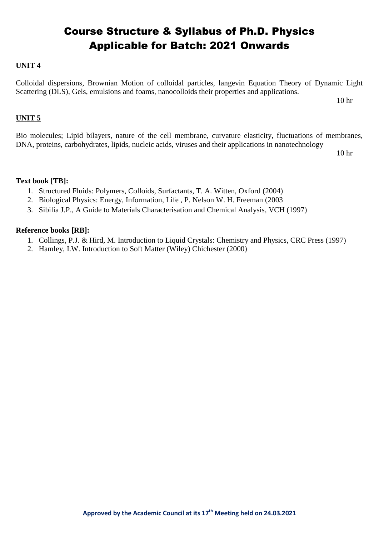### **UNIT 4**

Colloidal dispersions, Brownian Motion of colloidal particles, langevin Equation Theory of Dynamic Light Scattering (DLS), Gels, emulsions and foams, nanocolloids their properties and applications.

10 hr

#### **UNIT 5**

Bio molecules; Lipid bilayers, nature of the cell membrane, curvature elasticity, fluctuations of membranes, DNA, proteins, carbohydrates, lipids, nucleic acids, viruses and their applications in nanotechnology

10 hr

#### **Text book [TB]:**

- 1. Structured Fluids: Polymers, Colloids, Surfactants, T. A. Witten, Oxford (2004)
- 2. Biological Physics: Energy, Information, Life , P. Nelson W. H. Freeman (2003
- 3. Sibilia J.P., A Guide to Materials Characterisation and Chemical Analysis, VCH (1997)

- 1. Collings, P.J. & Hird, M. Introduction to Liquid Crystals: Chemistry and Physics, CRC Press (1997)
- 2. Hamley, I.W. Introduction to Soft Matter (Wiley) Chichester (2000)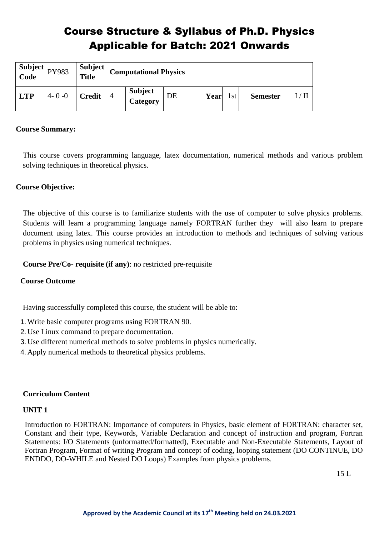| Subject<br>Code | PY983       | <b>Subject</b><br><b>Title</b> | <b>Computational Physics</b>      |    |      |      |                 |  |
|-----------------|-------------|--------------------------------|-----------------------------------|----|------|------|-----------------|--|
| <b>LTP</b>      | $4 - 0 - 0$ | Credit                         | <b>Subject</b><br><b>Category</b> | DE | Year | l st | <b>Semester</b> |  |

# **Course Summary:**

This course covers programming language, latex documentation, numerical methods and various problem solving techniques in theoretical physics.

# **Course Objective:**

The objective of this course is to familiarize students with the use of computer to solve physics problems. Students will learn a programming language namely FORTRAN further they will also learn to prepare document using latex. This course provides an introduction to methods and techniques of solving various problems in physics using numerical techniques.

#### **Course Pre/Co- requisite (if any)**: no restricted pre-requisite

#### **Course Outcome**

Having successfully completed this course, the student will be able to:

- 1.Write basic computer programs using FORTRAN 90.
- 2.Use Linux command to prepare documentation.
- 3.Use different numerical methods to solve problems in physics numerically.
- 4.Apply numerical methods to theoretical physics problems.

#### **Curriculum Content**

#### **UNIT 1**

Introduction to FORTRAN: Importance of computers in Physics, basic element of FORTRAN: character set, Constant and their type, Keywords, Variable Declaration and concept of instruction and program, Fortran Statements: I/O Statements (unformatted/formatted), Executable and Non-Executable Statements, Layout of Fortran Program, Format of writing Program and concept of coding, looping statement (DO CONTINUE, DO ENDDO, DO-WHILE and Nested DO Loops) Examples from physics problems.

 $15 L$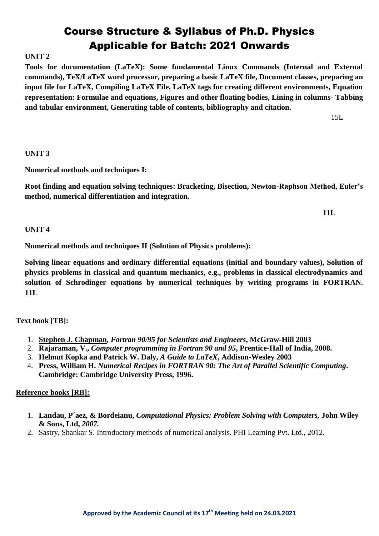# **UNIT 2**

**Tools for documentation (LaTeX): Some fundamental Linux Commands (Internal and External commands), TeX/LaTeX word processor, preparing a basic LaTeX file, Document classes, preparing an input file for LaTeX, Compiling LaTeX File, LaTeX tags for creating different environments, Equation representation: Formulae and equations, Figures and other floating bodies, Lining in columns- Tabbing and tabular environment, Generating table of contents, bibliography and citation.**

15L

### **UNIT 3**

**Numerical methods and techniques I:**

**Root finding and equation solving techniques: Bracketing, Bisection, Newton-Raphson Method, Euler's method, numerical differentiation and integration.**

 **11L**

#### **UNIT 4**

**Numerical methods and techniques II (Solution of Physics problems):** 

**Solving linear equations and ordinary differential equations (initial and boundary values), Solution of physics problems in classical and quantum mechanics, e.g., problems in classical electrodynamics and solution of Schrodinger equations by numerical techniques by writing programs in FORTRAN. 11L** 

# **Text book [TB]:**

- 1. **[Stephen J. Chapman](http://www.mhhe.com/engcs/general/chapman/)***, Fortran 90/95 for Scientists and Engineers***, McGraw-Hill 2003**
- 2. **Rajaraman, V.,** *Computer programming in Fortran 90 and 95***, Prentice-Hall of India, 2008.**
- 3. **Helmut Kopka and Patrick W. Daly,** *A Guide to LaTeX***, Addison-Wesley 2003**
- 4. **Press, William H.** *Numerical Recipes in FORTRAN 90: The Art of Parallel Scientific Computing***. Cambridge: Cambridge University Press, 1996.**

- 1. **Landau, P´aez, & Bordeianu,** *Computational Physics: Problem Solving with Computers,* **John Wiley & Sons, Ltd,** *2007.*
- 2. Sastry, Shankar S. Introductory methods of numerical analysis. PHI Learning Pvt. Ltd., 2012.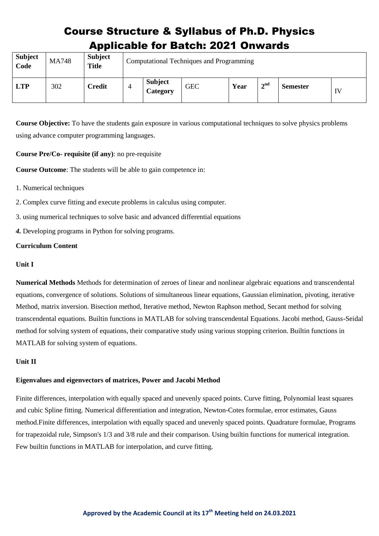| <b>Subject</b><br>Code | <b>MA748</b> | <b>Subject</b><br><b>Title</b> |                | Computational Techniques and Programming |            |      |                                            |                 |    |  |  |
|------------------------|--------------|--------------------------------|----------------|------------------------------------------|------------|------|--------------------------------------------|-----------------|----|--|--|
| <b>LTP</b>             | 302          | <b>Credit</b>                  | $\overline{4}$ | <b>Subject</b><br>Category               | <b>GEC</b> | Year | $\boldsymbol{\gamma}$ nd<br>$\overline{ }$ | <b>Semester</b> | IV |  |  |

**Course Objective:** To have the students gain exposure in various computational techniques to solve physics problems using advance computer programming languages.

**Course Pre/Co- requisite (if any)**: no pre-requisite

**Course Outcome**: The students will be able to gain competence in:

- 1. Numerical techniques
- 2. Complex curve fitting and execute problems in calculus using computer.
- 3. using numerical techniques to solve basic and advanced differential equations
- *4.* Developing programs in Python for solving programs.

# **Curriculum Content**

#### **Unit I**

**Numerical Methods** Methods for determination of zeroes of linear and nonlinear algebraic equations and transcendental equations, convergence of solutions. Solutions of simultaneous linear equations, Gaussian elimination, pivoting, iterative Method, matrix inversion. Bisection method, Iterative method, Newton Raphson method, Secant method for solving transcendental equations. Builtin functions in MATLAB for solving transcendental Equations. Jacobi method, Gauss-Seidal method for solving system of equations, their comparative study using various stopping criterion. Builtin functions in MATLAB for solving system of equations.

#### **Unit II**

#### **Eigenvalues and eigenvectors of matrices, Power and Jacobi Method**

Finite differences, interpolation with equally spaced and unevenly spaced points. Curve fitting, Polynomial least squares and cubic Spline fitting. Numerical differentiation and integration, Newton-Cotes formulae, error estimates, Gauss method.Finite differences, interpolation with equally spaced and unevenly spaced points. Quadrature formulae, Programs for trapezoidal rule, Simpson's 1/3 and 3/8 rule and their comparison. Using builtin functions for numerical integration. Few builtin functions in MATLAB for interpolation, and curve fitting.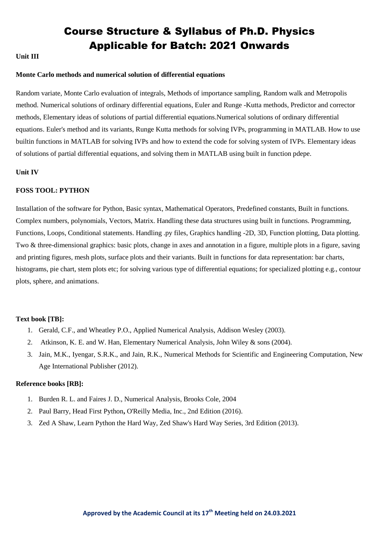#### **Unit III**

#### **Monte Carlo methods and numerical solution of differential equations**

Random variate, Monte Carlo evaluation of integrals, Methods of importance sampling, Random walk and Metropolis method. Numerical solutions of ordinary differential equations, Euler and Runge -Kutta methods, Predictor and corrector methods, Elementary ideas of solutions of partial differential equations.Numerical solutions of ordinary differential equations. Euler's method and its variants, Runge Kutta methods for solving IVPs, programming in MATLAB. How to use builtin functions in MATLAB for solving IVPs and how to extend the code for solving system of IVPs. Elementary ideas of solutions of partial differential equations, and solving them in MATLAB using built in function pdepe.

#### **Unit IV**

#### **FOSS TOOL: PYTHON**

Installation of the software for Python, Basic syntax, Mathematical Operators, Predefined constants, Built in functions. Complex numbers, polynomials, Vectors, Matrix. Handling these data structures using built in functions. Programming, Functions, Loops, Conditional statements. Handling .py files, Graphics handling -2D, 3D, Function plotting, Data plotting. Two & three-dimensional graphics: basic plots, change in axes and annotation in a figure, multiple plots in a figure, saving and printing figures, mesh plots, surface plots and their variants. Built in functions for data representation: bar charts, histograms, pie chart, stem plots etc; for solving various type of differential equations; for specialized plotting e.g., contour plots, sphere, and animations.

#### **Text book [TB]:**

- 1. Gerald, C.F., and Wheatley P.O., Applied Numerical Analysis, Addison Wesley (2003).
- 2. Atkinson, K. E. and W. Han, Elementary Numerical Analysis, John Wiley & sons (2004).
- 3. Jain, M.K., Iyengar, S.R.K., and Jain, R.K., Numerical Methods for Scientific and Engineering Computation, New Age International Publisher (2012).

- 1. Burden R. L. and Faires J. D., Numerical Analysis, Brooks Cole, 2004
- 2. Paul Barry, Head First Python**,** O'Reilly Media, Inc., 2nd Edition (2016).
- 3. Zed A Shaw, Learn Python the Hard Way, Zed Shaw's Hard Way Series, 3rd Edition (2013).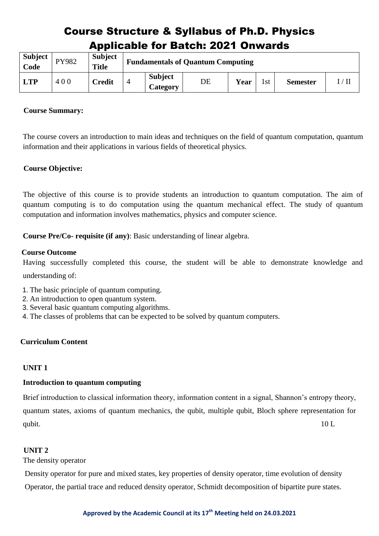| <b>Subject</b><br>Code | PY982 | Subject<br><b>Title</b> |                            | <b>Fundamentals of Quantum Computing</b> |      |     |                 |                |
|------------------------|-------|-------------------------|----------------------------|------------------------------------------|------|-----|-----------------|----------------|
| <b>LTP</b>             | 400   | <b>Credit</b>           | <b>Subject</b><br>Category | DE                                       | Year | 1st | <b>Semester</b> | $^{\prime}$ Il |

### **Course Summary:**

The course covers an introduction to main ideas and techniques on the field of quantum computation, quantum information and their applications in various fields of theoretical physics.

# **Course Objective:**

The objective of this course is to provide students an introduction to quantum computation. The aim of quantum computing is to do computation using the quantum mechanical effect. The study of quantum computation and information involves mathematics, physics and computer science.

**Course Pre/Co- requisite (if any)**: Basic understanding of linear algebra.

#### **Course Outcome**

Having successfully completed this course, the student will be able to demonstrate knowledge and understanding of:

- 1. The basic principle of quantum computing.
- 2. An introduction to open quantum system.
- 3. Several basic quantum computing algorithms.
- 4. The classes of problems that can be expected to be solved by quantum computers.

# **Curriculum Content**

# **UNIT 1**

#### **Introduction to quantum computing**

Brief introduction to classical information theory, information content in a signal, Shannon's entropy theory, quantum states, axioms of quantum mechanics, the qubit, multiple qubit, Bloch sphere representation for qubit.  $10 \text{ L}$ 

#### **UNIT 2**

The density operator

Density operator for pure and mixed states, key properties of density operator, time evolution of density Operator, the partial trace and reduced density operator, Schmidt decomposition of bipartite pure states.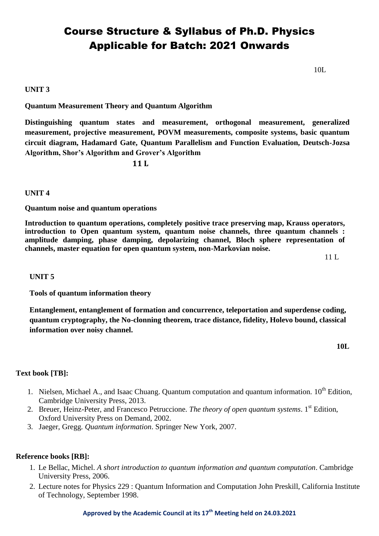10L

#### **UNIT 3**

**Quantum Measurement Theory and Quantum Algorithm**

**Distinguishing quantum states and measurement, orthogonal measurement, generalized measurement, projective measurement, POVM measurements, composite systems, basic quantum circuit diagram, Hadamard Gate, Quantum Parallelism and Function Evaluation, Deutsch-Jozsa Algorithm, Shor's Algorithm and Grover's Algorithm**

**11 L**

#### **UNIT 4**

**Quantum noise and quantum operations**

**Introduction to quantum operations, completely positive trace preserving map, Krauss operators, introduction to Open quantum system, quantum noise channels, three quantum channels : amplitude damping, phase damping, depolarizing channel, Bloch sphere representation of channels, master equation for open quantum system, non-Markovian noise.**

11 L

#### **UNIT 5**

**Tools of quantum information theory**

**Entanglement, entanglement of formation and concurrence, teleportation and superdense coding, quantum cryptography, the No-clonning theorem, trace distance, fidelity, Holevo bound, classical information over noisy channel.** 

**10L**

#### **Text book [TB]:**

- 1. Nielsen, Michael A., and Isaac Chuang. Quantum computation and quantum information.  $10^{th}$  Edition. Cambridge University Press, 2013.
- 2. Breuer, Heinz-Peter, and Francesco Petruccione. The theory of open quantum systems. 1<sup>st</sup> Edition, Oxford University Press on Demand, 2002.
- 3. Jaeger, Gregg. *Quantum information*. Springer New York, 2007.

#### **Reference books [RB]:**

- 1. Le Bellac, Michel. *A short introduction to quantum information and quantum computation*. Cambridge University Press, 2006.
- 2. Lecture notes for Physics 229 : Quantum Information and Computation John Preskill, California Institute of Technology, September 1998.

#### **Approved by the Academic Council at its 17 th Meeting held on 24.03.2021**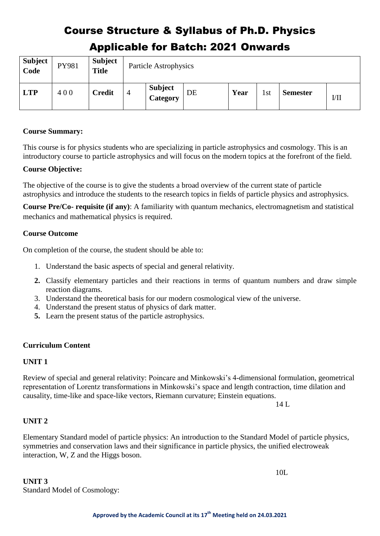| <b>Subject</b><br>Code | PY981 | <b>Subject</b><br><b>Title</b> |   | Particle Astrophysics             |    |      |     |                 |        |
|------------------------|-------|--------------------------------|---|-----------------------------------|----|------|-----|-----------------|--------|
| <b>LTP</b>             | 400   | <b>Credit</b>                  | 4 | <b>Subject</b><br><b>Category</b> | DE | Year | 1st | <b>Semester</b> | $V$ II |

### **Course Summary:**

This course is for physics students who are specializing in particle astrophysics and cosmology. This is an introductory course to particle astrophysics and will focus on the modern topics at the forefront of the field.

### **Course Objective:**

The objective of the course is to give the students a broad overview of the current state of particle astrophysics and introduce the students to the research topics in fields of particle physics and astrophysics.

**Course Pre/Co- requisite (if any)**: A familiarity with quantum mechanics, electromagnetism and statistical mechanics and mathematical physics is required.

# **Course Outcome**

On completion of the course, the student should be able to:

- 1. Understand the basic aspects of special and general relativity.
- **2.** Classify elementary particles and their reactions in terms of quantum numbers and draw simple reaction diagrams.
- 3. Understand the theoretical basis for our modern cosmological view of the universe.
- 4. Understand the present status of physics of dark matter.
- **5.** Learn the present status of the particle astrophysics.

# **Curriculum Content**

# **UNIT 1**

Review of special and general relativity: Poincare and Minkowski's 4-dimensional formulation, geometrical representation of Lorentz transformations in Minkowski's space and length contraction, time dilation and causality, time-like and space-like vectors, Riemann curvature; Einstein equations.

14 L

# **UNIT 2**

Elementary Standard model of particle physics: An introduction to the Standard Model of particle physics, symmetries and conservation laws and their significance in particle physics, the unified electroweak interaction, W, Z and the Higgs boson.

10L

**UNIT 3** Standard Model of Cosmology: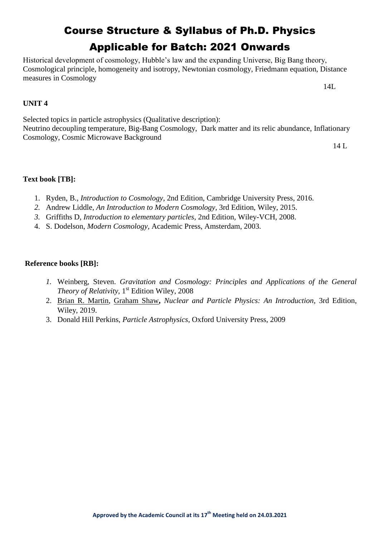Historical development of cosmology, Hubble's law and the expanding Universe, Big Bang theory, Cosmological principle, homogeneity and isotropy, Newtonian cosmology, Friedmann equation, Distance measures in Cosmology

14L

# **UNIT 4**

Selected topics in particle astrophysics (Qualitative description): Neutrino decoupling temperature, Big-Bang Cosmology, Dark matter and its relic abundance, Inflationary Cosmology, Cosmic Microwave Background

14 L

# **Text book [TB]:**

- 1. Ryden, B., *Introduction to Cosmology*, 2nd Edition, Cambridge University Press, 2016.
- *2.* Andrew Liddle, *An Introduction to Modern Cosmology,* 3rd Edition, Wiley, 2015.
- *3.* Griffiths D, *Introduction to elementary particles,* 2nd Edition*,* Wiley-VCH, 2008.
- 4. S. Dodelson, *Modern Cosmology,* Academic Press, Amsterdam, 2003.

- *1.* Weinberg, Steven. *Gravitation and Cosmology: Principles and Applications of the General*  Theory of Relativity, 1<sup>st</sup> Edition Wiley, 2008
- 2. [Brian R. Martin,](https://www.wiley.com/en-us/search?pq=%7Crelevance%7Cauthor%3ABrian+R.+Martin) [Graham Shaw](https://www.wiley.com/en-us/search?pq=%7Crelevance%7Cauthor%3AGraham+Shaw)**,** *Nuclear and Particle Physics: An Introduction*, 3rd Edition, Wiley, 2019.
- 3. Donald Hill Perkins, *Particle Astrophysics*, Oxford University Press, 2009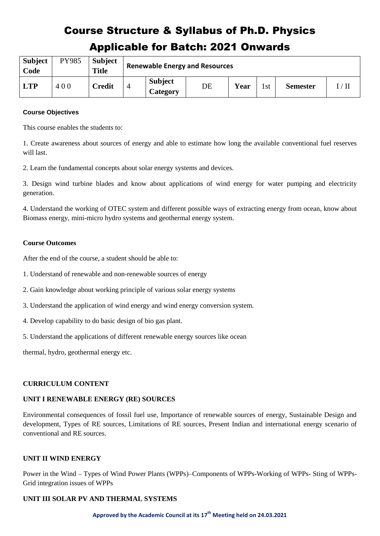| <b>Subject</b><br>Code | PY985 | <b>Subject</b><br><b>Title</b> | <b>Renewable Energy and Resources</b> |                            |    |      |     |                 |                    |
|------------------------|-------|--------------------------------|---------------------------------------|----------------------------|----|------|-----|-----------------|--------------------|
| <b>LTP</b>             | 400   | <b>Credit</b>                  |                                       | <b>Subject</b><br>Category | DE | Year | 1st | <b>Semester</b> | $/ \, \mathrm{II}$ |

#### **Course Objectives**

This course enables the students to:

1. Create awareness about sources of energy and able to estimate how long the available conventional fuel reserves will last.

2. Learn the fundamental concepts about solar energy systems and devices.

3. Design wind turbine blades and know about applications of wind energy for water pumping and electricity generation.

4. Understand the working of OTEC system and different possible ways of extracting energy from ocean, know about Biomass energy, mini-micro hydro systems and geothermal energy system.

#### **Course Outcomes**

After the end of the course, a student should be able to:

- 1. Understand of renewable and non-renewable sources of energy
- 2. Gain knowledge about working principle of various solar energy systems
- 3. Understand the application of wind energy and wind energy conversion system.
- 4. Develop capability to do basic design of bio gas plant.
- 5. Understand the applications of different renewable energy sources like ocean

thermal, hydro, geothermal energy etc.

#### **CURRICULUM CONTENT**

#### **UNIT I RENEWABLE ENERGY (RE) SOURCES**

Environmental consequences of fossil fuel use, Importance of renewable sources of energy, Sustainable Design and development, Types of RE sources, Limitations of RE sources, Present Indian and international energy scenario of conventional and RE sources.

#### **UNIT II WIND ENERGY**

Power in the Wind – Types of Wind Power Plants (WPPs)–Components of WPPs-Working of WPPs- Sting of WPPs-Grid integration issues of WPPs

#### **UNIT III SOLAR PV AND THERMAL SYSTEMS**